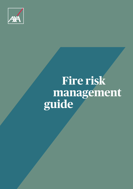

# **Fire risk management guide**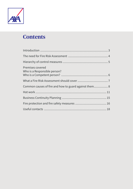

# **Contents**

| Premises covered<br>Who is a Responsible person? |  |
|--------------------------------------------------|--|
|                                                  |  |
|                                                  |  |
|                                                  |  |
|                                                  |  |
|                                                  |  |
|                                                  |  |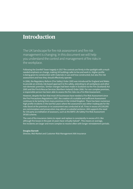### **Introduction**

The UK landscape for fire risk assessment and fire risk management is changing. In this document we will help you understand the control and management of fire risks in the workplace.

Following the Grenfell Tower tragedy in 2017 fire controls are firmly in the spotlight with a much needed emphasis on change, making UK buildings safer to live and work in. Higher profile is being given to construction with materials in use and how constructed, but also fire risk assessment and how they should effectively operate.

In 2006, the Regulatory Reform (Fire Safety) Order 2005 was introduced for England and Wales to provide an entirely risk-based approach to fire safety, extending to all workplaces and other non domestic premises. Similar changes had been made in Scotland via the Fire (Scotland) Act 2005 and the Fire & Rescue Services (Northern Ireland) Order 2006. For non complex premises, a responsible person has been able to assess the fire risks via a Fire Risk Assessment.

However, despite the fact that most UK businesses have needed a Fire Risk Assessment since the Fire Precautions Regulations 1997, the creation of a suitable and sufficient Assessment continues to be lacking from many premises in the United Kingdom. There has been numerous high profile incidents in the last few years where the assessment was either inadequate for the risks faced at the premises or no assessment was conducted at all. Fines in excess of £100,000 are commonplace and prosecution may attract a custodial sentence. AXA supports the need for 3rd party accreditation of assessors, such as the BAFE Life Safety Fire Risk Assessment SP205 scheme.

The cost of fire insurance claims to repair and replace is consistently in excess of £1.3bn although fire losses in the past 10 years have virtually halved\*. This means on average, fire incidents are larger and more complex to resolve often with longer reinstatement periods.

#### **Douglas Barnett**

Director, Mid-Market and Customer Risk Management AXA Insurance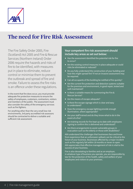

# **The need for Fire Risk Assessment**

The Fire Safety Order 2005, Fire (Scotland) Act 2005 and Fire & Rescue Services (Northern Ireland) Order 2006 require the hazards and risks of fire to be identified, with measures put in place to eliminate, reduce control or minimise them to prevent the outbreak and spread of fire and smoke. Failure to assess the fire risks is an offence under these regulations.

In the event that fire does occur, you must provide adequate fire protection measures to ensure the safety of employees, customers, contractors, visitors and members of the public. The assessment must also consider the safety of the emergency services such as fire fighters.

For anything other than the very small low risk environments, 3rd party accredited risk assessors should be contracted to deliver a suitable and sufficient risk assessment.

#### **Your competent fire risk assessment should include key areas as set out below:**

- Has the assessment identified the potential risk for fire to occur?
- Are the existing control measures in place adequate or could risks be eliminated or reduced?
- Do you fully understand the construction of your building and how this might spread fire? If not an invasive assessment may be required.
- Can all occupants of the building be notified of fire quickly?
- ¡ Are the current fire protection and detection systems suitable for the premises and environment, in good repair, tested and well maintained?
- Is there a suitable means for summoning the Fire & Rescue Service?
- Are the means of escape adequate?
- Is there fire escape signage which is clear and easy to understand?
- Does the emergency escape lighting provide enough illumination, where appropriate?
- ¡ Are your staff trained and do they know what to do in the event of a fire?
- Are training records for fire kept up to date with employees signing to confirm this is delivered and understood?
- Are there arrangements to assist vulnerable groups in evacuation such as the elderly or those with disabilities?

AXA understand the challenges that businesses face and know from experience that an unforeseen setback can be critical to the future of your business. Businesses affected by a major incident such as fire regularly fail within 18 months or never re-open. AXA appreciates that effective management of risk is vital to the success of your business.

Fire is also devastating to families and as an employer, in whatever type of business you operate, you are responsible by law for the protection of the health, safety and welfare of your employees and visitors to your premises.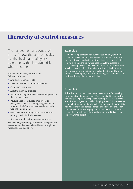### **Hierarchy of control measures**

The management and control of fire risk follows the same principles as other health and safety risk assessments, that is to avoid risk where possible.

Fire risk should always consider the following principles:

- Avoid risks where possible
- Evaluate risks which cannot be avoided
- ¡ Combat risks at source
- Adapt to technical progress
- ¡ Replace the dangerous with the non-dangerous or the less dangerous
- **•** Develop a coherent overall fire prevention policy which covers technology, organisation of work and the influence of factors relating to the working environment
- Give collective fire safety protective measures priority over individual measures
- ¡ Give appropriate instructions to employees.

The following examples give brief details of good risk assessment and what can be achieved through the measures described above.

#### **Example 1**

A woodworking company had always used a highly flammable solvent based lacquer for their wood treatment but recognised the fire risk associated with this. Good risk assessment will first look to eliminate the risk where possible. After a successful trial, the company was able to change to a water based solution which reduced the fire risk significantly. It was also better for the environment and did not adversely affect the quality of their product. The company are better protecting their employees and business through the reduction in risk.

#### **Example 2**

A distribution company used part of a warehouse for breaking down pallets of damaged goods. This created added congestion and fire spread potential especially as this process was close to electrical switchgear and forklift charging areas. This was seen as an area for improvement and an effective measure to reduce this risk was to move this operation into an enclosed but previously empty office room. This segregated the fire risk and has eased congestion considerably allowing them to control this risk and improve working practices.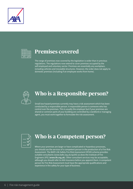



### **Premises covered**

The range of premises now covered by the legislation is wider than in previous regulations. The regulations now extend to cover premises occupied by the self employed and voluntary sector. Premises are essentially any workplace, including vehicles and moveable structures. However, the order does not apply to domestic premises (including if an employee works from home).



# **Who is a Responsible person?**

Small low hazard premises currently may have a risk assessment which has been conducted by a responsible person. A responsible person is someone who has control over the premises. This is usually the employer but if your premises are shared or common parts of your building are controlled by a landlord or managing agent, you must work together to formulate the risk assessment.



# **Who is a Competent person?**

Where your premises are larger or have complicated or hazardous processes, you should use the services of a competent person in the production of a Fire Risk Assessment. The BAFE Life Safety Fire Risk Assessment SP205 scheme provides suitable consultants (www.bafe.org.uk/sp205) as does the Institute of Fire Engineers (IFE) (**www.ife.org.uk**). Other consultant services may be acceptable, although you should refer to AXA Insurance before you appoint them. A competent person for Fire Risk Assessment must have the appropriate qualifications and experience in fire safety for your type of business.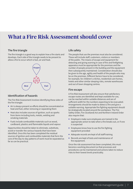# **What a Fire Risk Assessment should cover**

#### **The fire triangle**

The fire triangle is a good way to explain how a fire starts and develops. Each side of the triangle needs to be present to allow a fire to occur which is fuel, air and heat.



#### **Identification of hazards**

The Fire Risk Assessment involves identifying these sides of the fire triangle:

- ¡ Air is always present so efforts should be concentrated on heat and fuel, either removing or separating them
- Heat also includes sources of ignition, such as sparks from items including tools, metals, welding and smoking materials
- Fuels include combustible materials such as wood, cardboard, plastics and flammable liquids and vapour.

Opportunities should be taken to eliminate, substitute, avoid or transfer the various hazards that have been identified. Once this has been completed the residual sources of ignition and combustible materials that form the core of the day-to-day patterns of work must be separated as far as can be practical.

#### **Life safety**

The people that use the premises must also be considered. These will include staff, customers, visitors or members of the public. The means of escape and equipment for detecting and giving warning in case of fire and firefighting apparatus must be appropriate for the premises and the number of people present in the building and the equipment then subsequently maintained. Consideration should also be given to the age, agility and health of the people who may be on the premises. Different factors have to be considered, for example, for children's crèches, residential care homes, hotels and other similar sleeping risks, remote warehouses and out of town shopping centres.

#### **Fire escape**

A Fire Risk Assessment will also ensure that satisfactory escape routes are identified and kept available for use, can be reached within suitable distances and are of sufficient width for the numbers expecting to be evacuated. Arrangements should be made to detect a fire and give a suitable warning. Appropriate fire fighting equipment should be strategically located around the workplace. The Fire Safety Order, Fire (Scotland) Act and Northern Ireland Order also require that:

- **Employers make sure employees are trained in the** appropriate action to take when a fire breaks out, or if one is suspected
- **Employees know how to use the fire fighting** equipment provided
- Adequate records are kept of all staff training
- Records are kept of tests and maintenance of fire equipment.

Once the risk assessment has been completed, this must become a working document so that processes and procedures can be maintained and actions taken to reduce risks to their lowest levels practicably.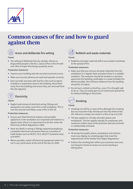

# **Common causes of fire and how to guard against them**



### **Arson and deliberate fire setting**

#### **Cause:**

■ The setting of deliberate fires by vandals, thieves or disgruntled people is the No.1 cause of fire in the UK with over 50% of major fires being caused by arson.

#### **Protection measures:**

- **IMPROVE YOUT building and site security to prevent access**
- Make sure security devices are used and operate correctly
- Don't provide arsonists with fuel for a fire such as stacks of pallets or waste bins close to the building. Move them away from the building and ensure they are removed from the site regularly.

# **Electricity**

#### **Cause:**

¡ Neglect and misuse of electrical wiring, fittings and equipment can easily cause fires in the workplace. This is now the second most likely cause of fire in the UK.

#### **Protection measures:**

- Ensure your fixed electrical systems and portable appliances in the workplace are inspected and tested on a regular basis (there is a requirement to do this under the Electricity at Work Regulations 1989)
- Have any faults in wiring or fittings repaired promptly by competent electrical contractors that are a member of trade bodies such as NICEIC, ECA, SELECT (Scotland only) and NAPIT.
- $\blacksquare$  Where possible, switch off electrical equipment when it is not in use, particularly at the end of the day (or shift).



### **Rubbish and waste materials**

#### **Cause:**

■ Rubbish and waste materials left to accumulate contribute to the spread of fire.

#### **Protection measures:**

- Make sure that you remove all waste materials from the workplace on a regular basis and place them in a suitable container. The container should be located in a position away from the building, preferably in a metal lockable bin. Where possible, the minimum distance from the building should be 10 metres
- Do not burn rubbish on bonfires, even if it is thought safe to do so. They can easily get out of control and spread fire to nearby buildings or structures.



#### **Cause:**

- Smoking can still be a cause of fire although the smoking ban has now been fully introduced into the whole of the UK. Failure to comply can result in a fine of up to £2,500
- The ban applies to virtually all public places and workplaces. The ban applies equally for employees and customers within areas of the premises that are enclosed or substantially enclosed.

#### **Protection measures:**

- All smoke free public places, workplaces and vehicles must now display no-smoking signs that meet the requirements of the Smoke Free (Signs) Regulations
- Enforce the smoking ban within your premises and carry out frequent checks to ensure no secret smoking is taking place.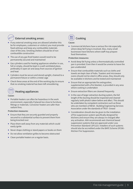### **External smoking areas:**

- If any external smoking areas are allowed (whether this be for employees, customers or visitors) you must provide fixed ashtrays and keep any combustible materials clear of the area. Smoking shelters should be of non combustible construction
- The use of any gas fired heaters would need to be permanently secured and maintained
- Gas cylinders used for heating appliances whether in use, full or empty, should be kept in a well ventilated place, preferably in open air and away from sources of ignition and heat
- ¡ Cylinders must be secure and stored upright, chained to a permanent fixture or within a metal cage
- Check these areas at the end of the working day to ensure that no smoking material has been left smouldering.

### **Heating appliances**

#### **Cause:**

■ Portable heaters can often be hazardous in the work environment, especially if placed too close to furniture, fittings or materials. Convector heaters are safer than radiant fires.

#### **Protection measures:**

- Ensure that they are securely guarded and properly secured to a substantial surface to prevent them from being knocked over
- Place them well away from any materials which could easily ignite
- ¡ Never drape clothing or stand papers or books on them
- Do not allow ventilation grilles to become obstructed
- Clean portable heaters on a regular basis.



#### **Cause:**

■ Commercial kitchens have a serious fire risk especially where deep fat frying is involved. Also, many small businesses have kitchens where staff may prepare food themselves.

#### **Protection measures:**

- Avoid deep fat frying unless a thermostatically controlled pan is provided. Even then it would be unwise to leave the pan unattended
- Ensure that combustible materials such as cloths and towels are kept clear of hobs. Toasters and microwave ovens should not be sited in office areas, they should only be available in kitchens and be tested and maintained
- $\blacksquare$  Ensure that an appropriate fire extinguisher, supplemented with a fire blanket, is provided in any area where cooking is undertaken
- **Ensure extraction filters are cleaned frequently**
- $\blacksquare$  In the case of larger extraction ducting system, the full length of the ducting should be inspected and cleaned regularly (with photo's taken before and after). This should be undertaken by competent contractors such as those who are members of BESA - Building Engineering Services Association under the standards of TR19 - Grease
- Consideration should also be given to the installation of fire suppression system specifically designed for kitchens and ensure they are always re-charged after any activation. AXA recommends wet chemical based suppression systems that are approved under Loss Prevention Standard LSP1223. Installers of such systems should also be accredited under the BAFE Scheme SP206 - Kitchen Fire Suppression.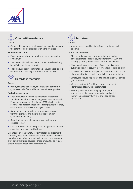



#### **Cause:**

■ Combustible materials, such as packing materials increase the potential for fire to spread within the premises.

#### **Protection measures:**

- Ensure amounts brought into the premises are kept to a minimum
- The amounts introduced to the place of use should only be sufficien for the days' work
- The bulk supplies of such materials should be locked in a secure store, preferably outside the main premise.

### **Hazardous materials**

#### **Cause:**

¡ Paints, solvents, adhesives, chemicals and contents of cylinders can be flammable and sometimes explosive.

#### **Protection measures:**

- Such products are treated as dangerous substances and therefore fall within the Dangerous Substances and Explosive Atmosphere Regulations 2002 which requires separate risk assessment and needs employers to identify what the risks are and control against them
- Store cylinders in proprietary storage cages away from the premises and always dispose of empty cylinders immediately
- Gas cylinders, even when empty, can explode when exposed to heat
- Keep these substances in separate storage areas and well away from any sources of ignition.

Dependant on the quantity of flammable liquids stored the store may need to be fire resistant. Be aware that some dust particles, when raised into a cloud, can also be explosive in a fire or from ignition sources – these products also require careful assessment and control measures.



#### **Cause:**

■ Your premises could be at risk from terrorism as well as crime.

#### **Protection measures:**

- Plan security measures for your building including physical protections such as, intruder alarms, CCTV and security guarding. Keep access points to a minimum
- ¡ Make security awareness part of your organisation's culture and ensure security is represented at a senior level
- Issue staff and visitors with passes. Where possible, do not allow unauthorised vehicles to get close to your building
- Employees should be prepared to challenge any visitors to your premises
- When recruiting staff or hiring contractors, check identities and follow up on references
- Ensure good basic housekeeping throughout your premises. Keep public areas tidy and well lit. Remove unnecessary furniture and keep garden areas clear.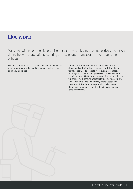# **Hot work**

Many fires within commercial premises result from carelessness or ineffective supervision during hot work (operations requiring the use of open flames or the local application of heat).

The most common processes involving sources of heat are welding, cutting, grinding and the use of blowlamps and bitumen / tar boilers.

It is vital that where hot work is undertaken outside a designated and suitably risk assessed workshop that a formal, supervised permit-to-work system is in place, to safeguard such hot work processes The AXA Hot Work Permit on pages 12-14 shows the conditions under which a typical hot work scheme operates for use by your employees and contractors alike. In addition, where a section of an automatic fire detection system has to be isolated there must be a management system in place to ensure its reinstatement.

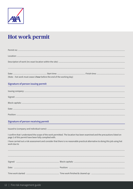

# **Hot work permit**

| (Note - hot work must cease 1 hour before the end of the working day) |  |
|-----------------------------------------------------------------------|--|

#### **Signature of person issuing permit**

#### **Signature of person receiving permit**

I confirm that I understand the scope of the work permitted. The location has been examined and the precautions listed on page 2 of this permit have been fully complied with.

I have carried out a risk assessment and consider that there is no reasonable practical alternative to doing this job using hot work due to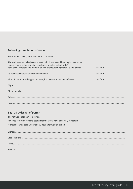### Following completion of works

| The work area and all adjacent areas to which sparks and heat might have spread<br>(such as floors below and above and areas on other side of walls) |          |
|------------------------------------------------------------------------------------------------------------------------------------------------------|----------|
| have been inspected and found to be free of smouldering materials and flames:                                                                        | Yes / No |
| All hot waste materials have been removed:                                                                                                           | Yes / No |
| All equipment, including gas cylinders, has been removed to a safe area:                                                                             | Yes / No |
|                                                                                                                                                      |          |
|                                                                                                                                                      |          |
|                                                                                                                                                      |          |
|                                                                                                                                                      |          |

### Sign off by issuer of permit

The hot work has been completed.

Any fire protection systems isolated for the works have been fully reinstated.

A final check has been undertaken 1 hour after works finished.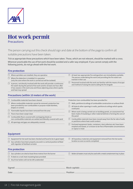

### **Hot work permit**  Precautions

The person carrying out this check should sign and date at the bottom of the page to confirm all suitable precautions have been taken.

Tick as appropriate those precautions which have been taken. Those, which are not relevant, should be marked with a cross. Wherever practicable the use of hot work should be avoided and a safer way employed. If you cannot comply with the following points, do not go ahead with the hot work.

trained in their use

#### **Fire protection**

- ❒ Where sprinklers are installed, they are operative
- $\Box$  Where fire detection is installed it is operative (only the zone where the work is carried out will be isolated)
- $\Box$  A person, not directly involved with the work will provide a continuous fire watch during the period of hot work and for at least one hour after it has ceased, in the work area and those adjoining areas where sparks and heat may spread
- **Precautions (within 10 meters of the work)** ❒ Combustible materials have been cleared ❒ Where combustible materials cannot be removed, protection has been provided by non-combustible or purpose-made blankets, drapes or screens ❒ Flammable liquids have been removed from the area ❒ Floors have been swept clean ❒ Combustible floors covered with overlapping sheets or non-combustible materials are wetted and liberally covered with sand ❒ All openings and gaps are adequately covered Protection (non-combustible) has been provided for: ❒ Walls, partitions & ceilings of combustible construction or surfaces finish ❒ All holes & other openings in walls, partitions & ceilings which sparks could pass ❒ Where work is being carried out on building panels, an assessment has been made of insulating or other material behind or forming the core of the panel ❒ Combustible materials have been moved away from the far side of walls or partitions where heat could conduct ❒ Enclosed equipment (tanks, containers, dust collectors etc) have been emptied and tested, or is known to be free of flammable concentrations or vapour or dust **Equipment** ❒ Equipment for hot work has been checked and found to be in good repair  $\Box$  Gas cylinders have been properly secured in a vertical position & fitted with regulator & flashback arrestor  $\Box$  All hazardous materials and equipment removed from the hot works location as soon as works completed **Fire protection**
	-

❒ If sited on a roof, heat-insulating base provided ❒ Any lit tar boilers will not be left unattended

- ❒ Gas cylinders are sited at least three metres from the burner
- ❒ Boilers & heaters must only be used with a metal containment tray in place

 $\Box$  At least two appropriate fire extinguishers are immediately available. The person undertaking the work and providing the fire watch are

 $\Box$  Personnel involved with the work are familiar with the means of escape

and method of raising the alarm/calling the fire brigade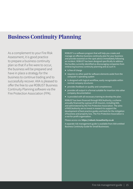# **Business Continuity Planning**

As a complement to your Fire Risk Assessment, it is good practice to prepare a business continuity plan so that if a fire were to occur, the business will be prepared and have in place a strategy for the business to continue trading and to successfully recover. AXA is pleased to offer the free to use ROBUST Business Continuity Planning software via the Fire Protection Association (FPA).

ROBUST is a software program that will help you create and manage an effective business continuity plan for your business and provide essential on-the-spot advice immediately following an incident. ROBUST has been designed specifically to address the hurdles currently identified as discouraging companies from embracing business continuity planning and as such it:

- is free of charge
- requires no other paid-for software elements aside from the computer's operating system
- $\blacksquare$  is designed with logical workflow, easily recognisable within normal company structures
- **•** provides feedback on quality and completeness
- ¡ provides all output in a format suitable for insertion into other company documentation
- is provided with all necessary training to develop the plan.

ROBUST has been financed through RISCAuthority, a scheme annually financed by a group of UK Insurers, including AXA, and administered by the Fire Protection Association. The aims of RISCAuthority are to invest in research to support the development of best practice guides and tools for the mitigation of business and property loss. The Fire Protection Association is a not-for-profit organisation.

Please access via: **https://robust.riscauthority.co.uk**

A separate risk management guide is available from AXA entitled Business Continuity Guide for Small Businesses.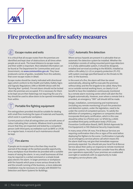

# **Fire protection and fire safety measures**



### **Escape routes and exits**

It is critical that all escape routes from the premises are identified and kept clear of obstructions at all times when people are at work. The travel distance to escape routes and their width is important. More detailed information can be found at The Department for Communities and Local Government, via **www.communities.gov.uk**. They have produced a series of guides, (available from this website), that cover escape routes in detail.

Escape routes should be clearly indicated with directional signs which conform to the Health and Safety (Safety Signs and Signals) Regulations 1996 or BS5499 (those with the 'Running Man' symbol). Fire exit doors should not be locked when the premises are occupied. If it is necessary for them to be kept secure then fastenings not requiring the use of a key should be used to allow doors to be opened immediately from within.

### **Portable fire fighting equipment**

Fire extinguishers provided should be suitable for dealing with small fires involving the types of materials and hazards, which exist in a particular workplace.

Current practice is that all extinguishers are red with zones of colour indicating their contents. Whatever kind is provided, ensure that they are inspected and tested by a competent person (with third party accreditation such as BAFE or LPCB) on a regular basis. A record of such maintenance should be kept.



If people are to escape from a fire then they must be warned of the danger at the earliest possible opportunity. Every workplace must therefore be provided with a suitable means of raising the alarm. In very small businesses all that may be required is a verbal command or a simple break glass electric fire alarm. In larger premises or workplaces with fire hazards which pose a more serious threat to life and the smooth running of the business, a more elaborate installation may be necessary to comply with BS5839 Fire Detection and Alarm Systems for Buildings.



### **Automatic fire detection**

Where serious hazards are present it is advisable that an automatic fire detection system be installed. Whether the installation consists of ceiling mounted point-type detectors or is a fully addressable system, it should be designed, installed and serviced according to the BS5839, installed as either a life safety (L1-L5) or property protection (P1-P2) with system coverage specified based on the threats to life and / or the business.

In the event of a fire, the alarm will then be raised automatically, allowing staff to evacuate the premises without delay and the fire brigade to be called. Many fires occur outside normal working hours, so clearly it is of benefit to have the installation continuously monitored by a remote alarm receiving centre which will alert the fire brigade automatically. However, even where a remote link is provided, an emergency "999" call should still be made.

Design, installation, commissioning and maintenance (including any remote monitoring) of such fire protection and detection system, under the legislation, need to be under the control of competent persons. To satisfy the definition of competency, engineers or companies should incorporate third party certification, which in this case should be either to LPS1014 and / or SP203 by a UKAS accredited third party certification body LPCB (Loss Prevention Certification Board), BAFE (British Approvals for Fire Equipment) or NSI (National Security Inspectorate).

In many areas of the UK now, Fire & Rescue Services are requiring confirmation that a fire or signs of fire exist before deploying fire fighters to the scene. Confirmation is typically via an emergency services phone call which means the fire alarm itself may not give that immediate response previously expected. You should ask your local Fire & Rescue Service about their policy on response to remote monitored fire alarm systems. You should then consider how this affects your operations especially if your premises are unattended overnight or weekends with no opportunity to make emergency service phone calls.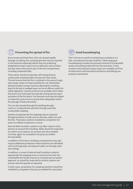

### **Preventing the spread of fire**

Since smoke and heat from a fire can spread rapidly through a building, fire-resisting doorsets may be required in the premises especially where they are protecting designated escape routes such as stairways and corridors but also where doors form part of the fire compartment, including residential flats.

These doors should incorporate self closing devices, smoke seals and potentially intumescent heat strips. This will ensure that the fire is confined in the area of origin and escape routes are kept available for use. Remember, failing to protect escape routes by allowing fire-resisting doors to be tied or wedged open can be an offence under fire safety legislation. Various products are available which allow the doors to be held open but operate closing devices upon activation of the fire alarm. Fire doorsets must also be subject to inspection and service to ensure they adequately restrict the passage of heat and smoke.

Fire can also spread through the building through rooms or compartments and also through areas like combustible cladding.

Systems of appropriate fire stopping may be required through breaches in walls such as ducting, cable runs and the like. Propriatary systems installed by competent 3rd party accredited companies is a must.

External Wall Insulation systems may often require cavity barriers to prevent fire travelling. Walls should be inspected to confirm such systems are present and also installed correctly, again via competent 3rd party accredited fire specialists.

In addition to fire doors, building compartments may also require additional protection where breaches are identified such as through pipe, ducting and cable run through walls and ceilings.

In addition, in areas of external wall insulation systems, appropriate fire stopping such as cavity barriers and non combustible fire breaks may be an essential part of system approval, so should be inspected to confirm systems are present and will operate as expected.

In both cases, proprietary fire stopping solutions should be installed by competent 3rd party accredited fire specialists.



### **Good housekeeping**

This is the term used for maintaining a workplace in a tidy, uncluttered and safe condition. Observing good housekeeping includes the prompt removal of combustible waste and packing materials from the premises. It also involves ensuring that escape routes are available and free of obstruction and that electrical fixtures and fittings are properly maintained.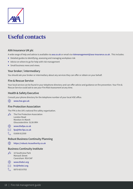

# **Useful contacts**

#### **AXA Insurance UK plc**

A wide range of help and advice is available via **axa.co.uk** or email via **riskmanagement@axa-insurance.co.uk** . This includes:

- Detailed guides to identifying, assessing and managing workplace risk
- Advice on where to go for help with risk management
- **Small business news and views.**

#### **Your broker / intermediary**

You should ask your broker or intermediary about any services they can offer or obtain on your behalf.

#### **Fire & Rescue Service**

Your local service can be found in your telephone directory and can offer advice and guidance on fire prevention. Your Fire & Rescue Service could ask to see your Fire Risk Assessment at any time.

#### **Health & Safety Executive**

Consult your phone directory for the telephone number of your local HSE office.

∰ **www.hse.gov.uk**

#### **Fire Protection Association**

The FPA is the UK's national fire safety organisation.

- $\mathbb{Z}$  The Fire Protection Association London Road Moreton-In-Marsh Gloucestershire GL56 0RH
- **www.thefpa.co.uk**
- **fpa@the fpa.co.uk**
- J 01608 812500

#### **Robust Business Continuity Planning**

⇔ **https://robust.riscauthority.co.uk**

#### **Business Continuity Institute**

- **20** 10 Southview Park Marsack Street Caversham RG4 5AF
- **www.thebci.org**
- **bci@thebci.org**  $\boxtimes$
- $\mathbb{C}$ 0870 603 8783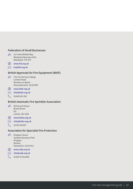#### **Federation of Small Businesses**

- $\mathscr{L}_I$  Sir Frank Whittle Way Blackpool Business Park Blackpool FY4 2FE
- $\bigoplus$ **www.fsb.org.uk**
- **ho@fsb.org.uk**

#### **British Approvals for Fire Equipment (BAFE)**

- **A** The Fire Service College London Road Moreton-in-Marsh Gloucestershire GL56 0RH
- **www.bafe.org.uk**
- **info@bafe.org.uk**
- $\%$  01608 653 350

#### **British Automatic Fire Sprinkler Association**

- $\mathbb{A}$  Richmond House Broad Street Ely Cambs CB7 4AH
- **www.bafsa.org.uk**
- **info@bafsa.org.uk**
- $\%$  01535 659187

#### **Association for Specialist Fire Protection**

- **A** Kingsley House Ganders Business Park Kingsley Bordon Hampshire GU35 9LU
- **www.asfp.org.uk**
- **info@asfp.org.uk**
- **& 01420 471612W0**